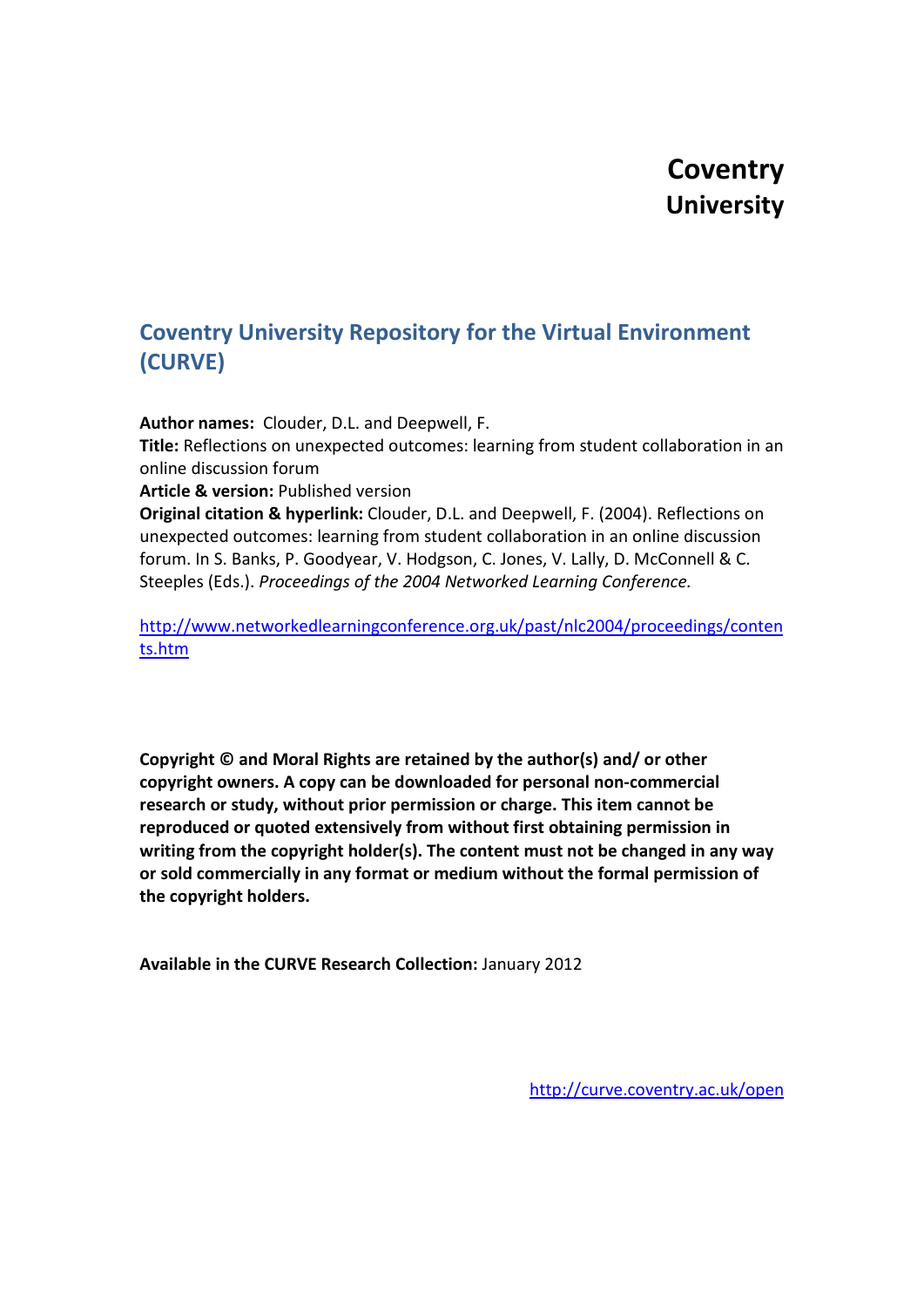# **Coventry University**

## **Coventry University Repository for the Virtual Environment (CURVE)**

**Author names:** Clouder, D.L. and Deepwell, F.

**Title:** Reflections on unexpected outcomes: learning from student collaboration in an online discussion forum

**Article & version:** Published version

**Original citation & hyperlink:** Clouder, D.L. and Deepwell, F. (2004). Reflections on unexpected outcomes: learning from student collaboration in an online discussion forum. In S. Banks, P. Goodyear, V. Hodgson, C. Jones, V. Lally, D. McConnell & C. Steeples (Eds.). *Proceedings of the 2004 Networked Learning Conference.*

[http://www.networkedlearningconference.org.uk/past/nlc2004/proceedings/conten](http://www.networkedlearningconference.org.uk/past/nlc2004/proceedings/contents.htm) [ts.htm](http://www.networkedlearningconference.org.uk/past/nlc2004/proceedings/contents.htm)

**Copyright © and Moral Rights are retained by the author(s) and/ or other copyright owners. A copy can be downloaded for personal non-commercial research or study, without prior permission or charge. This item cannot be reproduced or quoted extensively from without first obtaining permission in writing from the copyright holder(s). The content must not be changed in any way or sold commercially in any format or medium without the formal permission of the copyright holders.**

**Available in the CURVE Research Collection:** January 2012

<http://curve.coventry.ac.uk/open>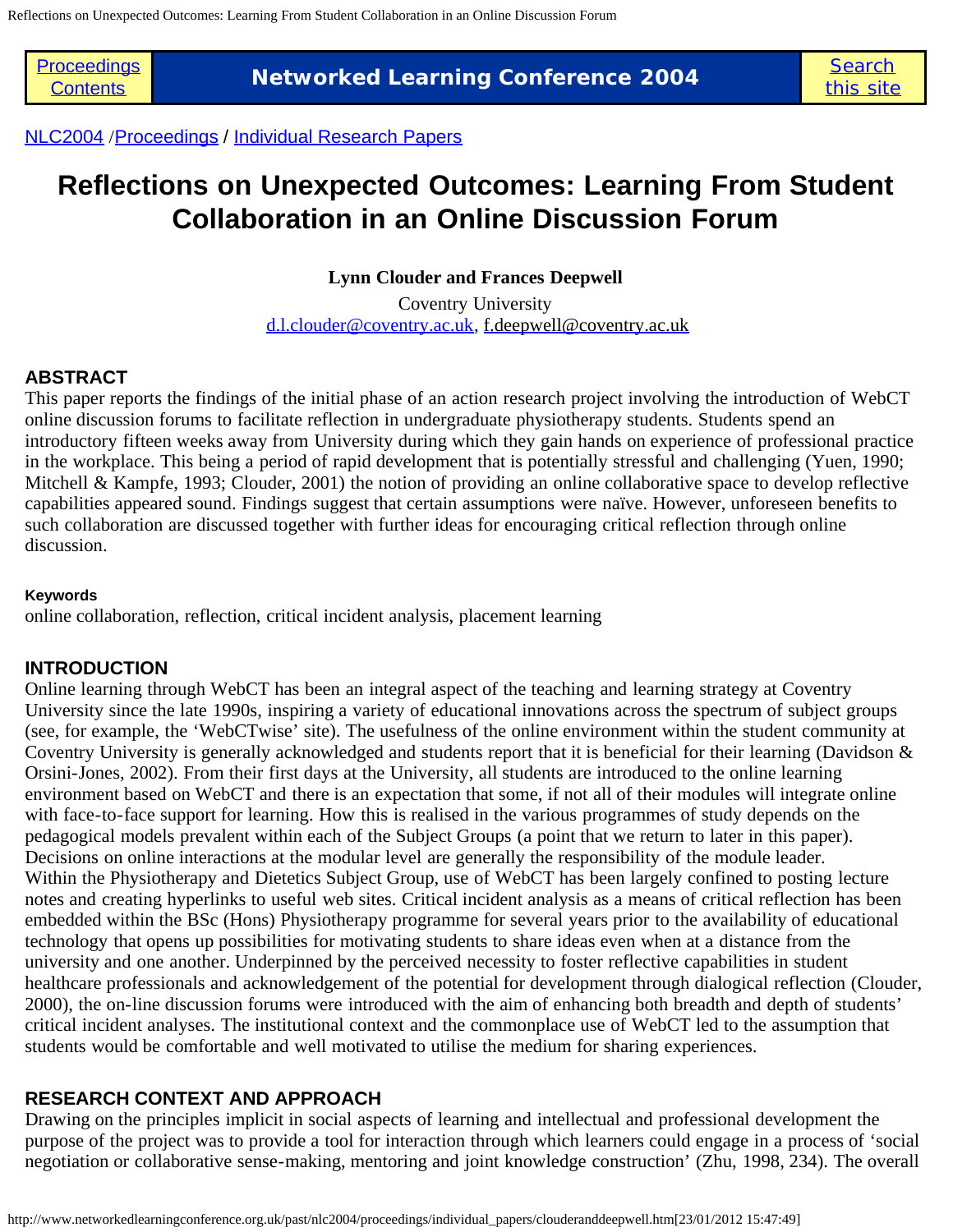**[Proceedings](http://www.networkedlearningconference.org.uk/past/nlc2004/proceedings/Contents.htm)** 

**The Learning Conference 2004**<br>[Contents](http://www.networkedlearningconference.org.uk/past/nlc2004/proceedings/Contents.htm) **Networked Learning Conference 2004** 

[NLC2004](http://www.networkedlearningconference.org.uk/past/nlc2004/home.htm) /[Proceedings](http://www.networkedlearningconference.org.uk/past/nlc2004/proceedings/Contents.htm) / [Individual Research Papers](http://www.networkedlearningconference.org.uk/past/nlc2004/proceedings/Contents.htm#ResearchPapers)

## **Reflections on Unexpected Outcomes: Learning From Student Collaboration in an Online Discussion Forum**

**Lynn Clouder and Frances Deepwell**

Coventry University [d.l.clouder@coventry.ac.uk,](mailto:d.l.clouder@coventry.ac.uk) [f.deepwell@coventry.ac.uk](mailto:f.deepwell@coventry.ac.uk)

### **ABSTRACT**

This paper reports the findings of the initial phase of an action research project involving the introduction of WebCT online discussion forums to facilitate reflection in undergraduate physiotherapy students. Students spend an introductory fifteen weeks away from University during which they gain hands on experience of professional practice in the workplace. This being a period of rapid development that is potentially stressful and challenging (Yuen, 1990; Mitchell & Kampfe, 1993; Clouder, 2001) the notion of providing an online collaborative space to develop reflective capabilities appeared sound. Findings suggest that certain assumptions were naïve. However, unforeseen benefits to such collaboration are discussed together with further ideas for encouraging critical reflection through online discussion.

#### **Keywords**

online collaboration, reflection, critical incident analysis, placement learning

### **INTRODUCTION**

Online learning through WebCT has been an integral aspect of the teaching and learning strategy at Coventry University since the late 1990s, inspiring a variety of educational innovations across the spectrum of subject groups (see, for example, the 'WebCTwise' site). The usefulness of the online environment within the student community at Coventry University is generally acknowledged and students report that it is beneficial for their learning (Davidson & Orsini-Jones, 2002). From their first days at the University, all students are introduced to the online learning environment based on WebCT and there is an expectation that some, if not all of their modules will integrate online with face-to-face support for learning. How this is realised in the various programmes of study depends on the pedagogical models prevalent within each of the Subject Groups (a point that we return to later in this paper). Decisions on online interactions at the modular level are generally the responsibility of the module leader. Within the Physiotherapy and Dietetics Subject Group, use of WebCT has been largely confined to posting lecture notes and creating hyperlinks to useful web sites. Critical incident analysis as a means of critical reflection has been embedded within the BSc (Hons) Physiotherapy programme for several years prior to the availability of educational technology that opens up possibilities for motivating students to share ideas even when at a distance from the university and one another. Underpinned by the perceived necessity to foster reflective capabilities in student healthcare professionals and acknowledgement of the potential for development through dialogical reflection (Clouder, 2000), the on-line discussion forums were introduced with the aim of enhancing both breadth and depth of students' critical incident analyses. The institutional context and the commonplace use of WebCT led to the assumption that students would be comfortable and well motivated to utilise the medium for sharing experiences.

### **RESEARCH CONTEXT AND APPROACH**

Drawing on the principles implicit in social aspects of learning and intellectual and professional development the purpose of the project was to provide a tool for interaction through which learners could engage in a process of 'social negotiation or collaborative sense-making, mentoring and joint knowledge construction' (Zhu, 1998, 234). The overall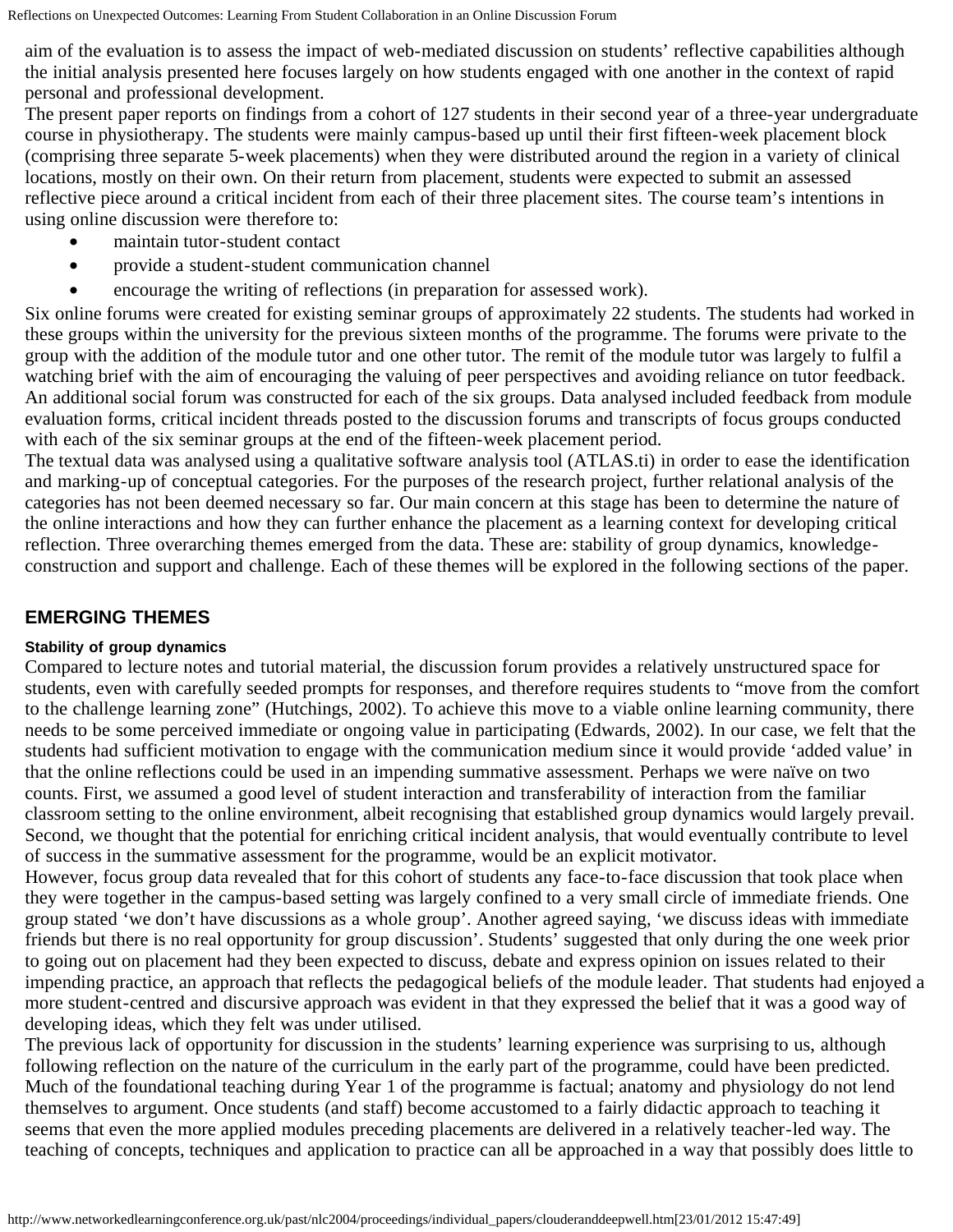aim of the evaluation is to assess the impact of web-mediated discussion on students' reflective capabilities although the initial analysis presented here focuses largely on how students engaged with one another in the context of rapid personal and professional development.

The present paper reports on findings from a cohort of 127 students in their second year of a three-year undergraduate course in physiotherapy. The students were mainly campus-based up until their first fifteen-week placement block (comprising three separate 5-week placements) when they were distributed around the region in a variety of clinical locations, mostly on their own. On their return from placement, students were expected to submit an assessed reflective piece around a critical incident from each of their three placement sites. The course team's intentions in using online discussion were therefore to:

- maintain tutor-student contact
- provide a student-student communication channel
- encourage the writing of reflections (in preparation for assessed work).

Six online forums were created for existing seminar groups of approximately 22 students. The students had worked in these groups within the university for the previous sixteen months of the programme. The forums were private to the group with the addition of the module tutor and one other tutor. The remit of the module tutor was largely to fulfil a watching brief with the aim of encouraging the valuing of peer perspectives and avoiding reliance on tutor feedback. An additional social forum was constructed for each of the six groups. Data analysed included feedback from module evaluation forms, critical incident threads posted to the discussion forums and transcripts of focus groups conducted with each of the six seminar groups at the end of the fifteen-week placement period.

The textual data was analysed using a qualitative software analysis tool (ATLAS.ti) in order to ease the identification and marking-up of conceptual categories. For the purposes of the research project, further relational analysis of the categories has not been deemed necessary so far. Our main concern at this stage has been to determine the nature of the online interactions and how they can further enhance the placement as a learning context for developing critical reflection. Three overarching themes emerged from the data. These are: stability of group dynamics, knowledgeconstruction and support and challenge. Each of these themes will be explored in the following sections of the paper.

## **EMERGING THEMES**

#### **Stability of group dynamics**

Compared to lecture notes and tutorial material, the discussion forum provides a relatively unstructured space for students, even with carefully seeded prompts for responses, and therefore requires students to "move from the comfort to the challenge learning zone" (Hutchings, 2002). To achieve this move to a viable online learning community, there needs to be some perceived immediate or ongoing value in participating (Edwards, 2002). In our case, we felt that the students had sufficient motivation to engage with the communication medium since it would provide 'added value' in that the online reflections could be used in an impending summative assessment. Perhaps we were naïve on two counts. First, we assumed a good level of student interaction and transferability of interaction from the familiar classroom setting to the online environment, albeit recognising that established group dynamics would largely prevail. Second, we thought that the potential for enriching critical incident analysis, that would eventually contribute to level of success in the summative assessment for the programme, would be an explicit motivator.

However, focus group data revealed that for this cohort of students any face-to-face discussion that took place when they were together in the campus-based setting was largely confined to a very small circle of immediate friends. One group stated 'we don't have discussions as a whole group'. Another agreed saying, 'we discuss ideas with immediate friends but there is no real opportunity for group discussion'. Students' suggested that only during the one week prior to going out on placement had they been expected to discuss, debate and express opinion on issues related to their impending practice, an approach that reflects the pedagogical beliefs of the module leader. That students had enjoyed a more student-centred and discursive approach was evident in that they expressed the belief that it was a good way of developing ideas, which they felt was under utilised.

The previous lack of opportunity for discussion in the students' learning experience was surprising to us, although following reflection on the nature of the curriculum in the early part of the programme, could have been predicted. Much of the foundational teaching during Year 1 of the programme is factual; anatomy and physiology do not lend themselves to argument. Once students (and staff) become accustomed to a fairly didactic approach to teaching it seems that even the more applied modules preceding placements are delivered in a relatively teacher-led way. The teaching of concepts, techniques and application to practice can all be approached in a way that possibly does little to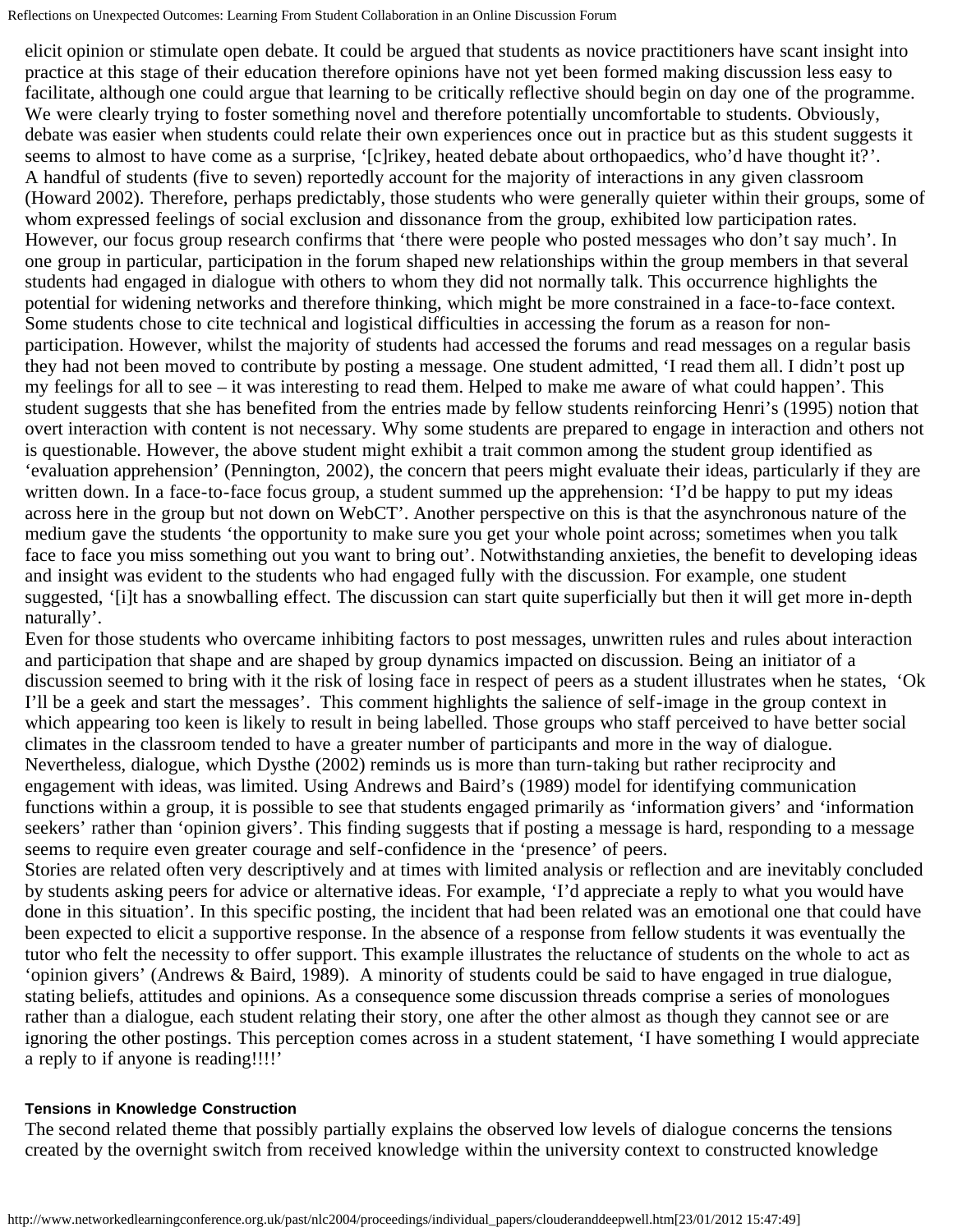elicit opinion or stimulate open debate. It could be argued that students as novice practitioners have scant insight into practice at this stage of their education therefore opinions have not yet been formed making discussion less easy to facilitate, although one could argue that learning to be critically reflective should begin on day one of the programme. We were clearly trying to foster something novel and therefore potentially uncomfortable to students. Obviously, debate was easier when students could relate their own experiences once out in practice but as this student suggests it seems to almost to have come as a surprise, '[c]rikey, heated debate about orthopaedics, who'd have thought it?'. A handful of students (five to seven) reportedly account for the majority of interactions in any given classroom (Howard 2002). Therefore, perhaps predictably, those students who were generally quieter within their groups, some of whom expressed feelings of social exclusion and dissonance from the group, exhibited low participation rates. However, our focus group research confirms that 'there were people who posted messages who don't say much'. In one group in particular, participation in the forum shaped new relationships within the group members in that several students had engaged in dialogue with others to whom they did not normally talk. This occurrence highlights the potential for widening networks and therefore thinking, which might be more constrained in a face-to-face context. Some students chose to cite technical and logistical difficulties in accessing the forum as a reason for nonparticipation. However, whilst the majority of students had accessed the forums and read messages on a regular basis they had not been moved to contribute by posting a message. One student admitted, 'I read them all. I didn't post up my feelings for all to see – it was interesting to read them. Helped to make me aware of what could happen'. This student suggests that she has benefited from the entries made by fellow students reinforcing Henri's (1995) notion that overt interaction with content is not necessary. Why some students are prepared to engage in interaction and others not is questionable. However, the above student might exhibit a trait common among the student group identified as 'evaluation apprehension' (Pennington, 2002), the concern that peers might evaluate their ideas, particularly if they are written down. In a face-to-face focus group, a student summed up the apprehension: 'I'd be happy to put my ideas across here in the group but not down on WebCT'. Another perspective on this is that the asynchronous nature of the medium gave the students 'the opportunity to make sure you get your whole point across; sometimes when you talk face to face you miss something out you want to bring out'. Notwithstanding anxieties, the benefit to developing ideas and insight was evident to the students who had engaged fully with the discussion. For example, one student suggested, '[i]t has a snowballing effect. The discussion can start quite superficially but then it will get more in-depth naturally'.

Even for those students who overcame inhibiting factors to post messages, unwritten rules and rules about interaction and participation that shape and are shaped by group dynamics impacted on discussion. Being an initiator of a discussion seemed to bring with it the risk of losing face in respect of peers as a student illustrates when he states, 'Ok I'll be a geek and start the messages'. This comment highlights the salience of self-image in the group context in which appearing too keen is likely to result in being labelled. Those groups who staff perceived to have better social climates in the classroom tended to have a greater number of participants and more in the way of dialogue. Nevertheless, dialogue, which Dysthe (2002) reminds us is more than turn-taking but rather reciprocity and engagement with ideas, was limited. Using Andrews and Baird's (1989) model for identifying communication functions within a group, it is possible to see that students engaged primarily as 'information givers' and 'information seekers' rather than 'opinion givers'. This finding suggests that if posting a message is hard, responding to a message seems to require even greater courage and self-confidence in the 'presence' of peers.

Stories are related often very descriptively and at times with limited analysis or reflection and are inevitably concluded by students asking peers for advice or alternative ideas. For example, 'I'd appreciate a reply to what you would have done in this situation'. In this specific posting, the incident that had been related was an emotional one that could have been expected to elicit a supportive response. In the absence of a response from fellow students it was eventually the tutor who felt the necessity to offer support. This example illustrates the reluctance of students on the whole to act as 'opinion givers' (Andrews & Baird, 1989). A minority of students could be said to have engaged in true dialogue, stating beliefs, attitudes and opinions. As a consequence some discussion threads comprise a series of monologues rather than a dialogue, each student relating their story, one after the other almost as though they cannot see or are ignoring the other postings. This perception comes across in a student statement, 'I have something I would appreciate a reply to if anyone is reading!!!!'

#### **Tensions in Knowledge Construction**

The second related theme that possibly partially explains the observed low levels of dialogue concerns the tensions created by the overnight switch from received knowledge within the university context to constructed knowledge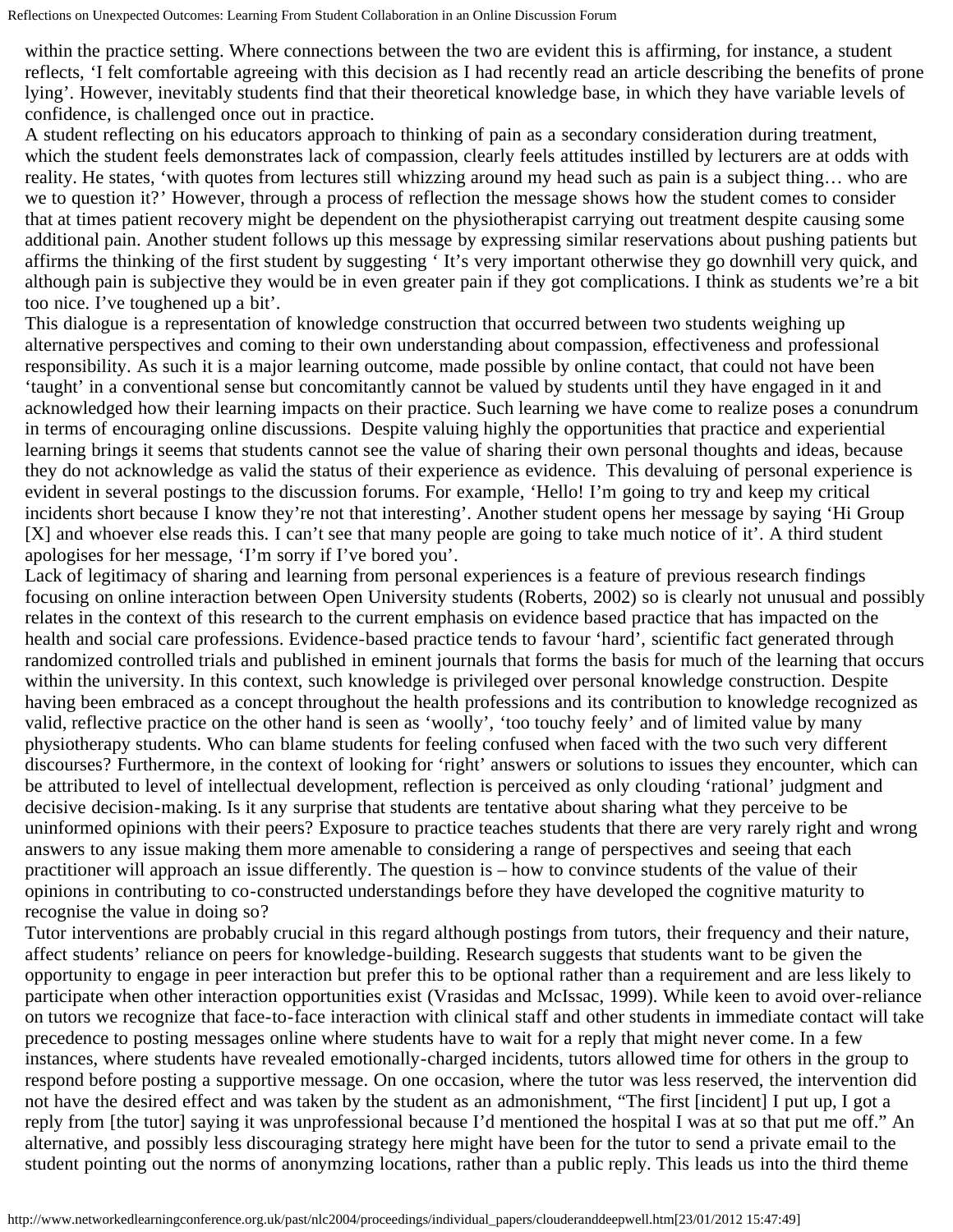within the practice setting. Where connections between the two are evident this is affirming, for instance, a student reflects, 'I felt comfortable agreeing with this decision as I had recently read an article describing the benefits of prone lying'. However, inevitably students find that their theoretical knowledge base, in which they have variable levels of confidence, is challenged once out in practice.

A student reflecting on his educators approach to thinking of pain as a secondary consideration during treatment, which the student feels demonstrates lack of compassion, clearly feels attitudes instilled by lecturers are at odds with reality. He states, 'with quotes from lectures still whizzing around my head such as pain is a subject thing… who are we to question it?' However, through a process of reflection the message shows how the student comes to consider that at times patient recovery might be dependent on the physiotherapist carrying out treatment despite causing some additional pain. Another student follows up this message by expressing similar reservations about pushing patients but affirms the thinking of the first student by suggesting ' It's very important otherwise they go downhill very quick, and although pain is subjective they would be in even greater pain if they got complications. I think as students we're a bit too nice. I've toughened up a bit'.

This dialogue is a representation of knowledge construction that occurred between two students weighing up alternative perspectives and coming to their own understanding about compassion, effectiveness and professional responsibility. As such it is a major learning outcome, made possible by online contact, that could not have been 'taught' in a conventional sense but concomitantly cannot be valued by students until they have engaged in it and acknowledged how their learning impacts on their practice. Such learning we have come to realize poses a conundrum in terms of encouraging online discussions. Despite valuing highly the opportunities that practice and experiential learning brings it seems that students cannot see the value of sharing their own personal thoughts and ideas, because they do not acknowledge as valid the status of their experience as evidence. This devaluing of personal experience is evident in several postings to the discussion forums. For example, 'Hello! I'm going to try and keep my critical incidents short because I know they're not that interesting'. Another student opens her message by saying 'Hi Group [X] and whoever else reads this. I can't see that many people are going to take much notice of it'. A third student apologises for her message, 'I'm sorry if I've bored you'.

Lack of legitimacy of sharing and learning from personal experiences is a feature of previous research findings focusing on online interaction between Open University students (Roberts, 2002) so is clearly not unusual and possibly relates in the context of this research to the current emphasis on evidence based practice that has impacted on the health and social care professions. Evidence-based practice tends to favour 'hard', scientific fact generated through randomized controlled trials and published in eminent journals that forms the basis for much of the learning that occurs within the university. In this context, such knowledge is privileged over personal knowledge construction. Despite having been embraced as a concept throughout the health professions and its contribution to knowledge recognized as valid, reflective practice on the other hand is seen as 'woolly', 'too touchy feely' and of limited value by many physiotherapy students. Who can blame students for feeling confused when faced with the two such very different discourses? Furthermore, in the context of looking for 'right' answers or solutions to issues they encounter, which can be attributed to level of intellectual development, reflection is perceived as only clouding 'rational' judgment and decisive decision-making. Is it any surprise that students are tentative about sharing what they perceive to be uninformed opinions with their peers? Exposure to practice teaches students that there are very rarely right and wrong answers to any issue making them more amenable to considering a range of perspectives and seeing that each practitioner will approach an issue differently. The question is – how to convince students of the value of their opinions in contributing to co-constructed understandings before they have developed the cognitive maturity to recognise the value in doing so?

Tutor interventions are probably crucial in this regard although postings from tutors, their frequency and their nature, affect students' reliance on peers for knowledge-building. Research suggests that students want to be given the opportunity to engage in peer interaction but prefer this to be optional rather than a requirement and are less likely to participate when other interaction opportunities exist (Vrasidas and McIssac, 1999). While keen to avoid over-reliance on tutors we recognize that face-to-face interaction with clinical staff and other students in immediate contact will take precedence to posting messages online where students have to wait for a reply that might never come. In a few instances, where students have revealed emotionally-charged incidents, tutors allowed time for others in the group to respond before posting a supportive message. On one occasion, where the tutor was less reserved, the intervention did not have the desired effect and was taken by the student as an admonishment, "The first [incident] I put up, I got a reply from [the tutor] saying it was unprofessional because I'd mentioned the hospital I was at so that put me off." An alternative, and possibly less discouraging strategy here might have been for the tutor to send a private email to the student pointing out the norms of anonymzing locations, rather than a public reply. This leads us into the third theme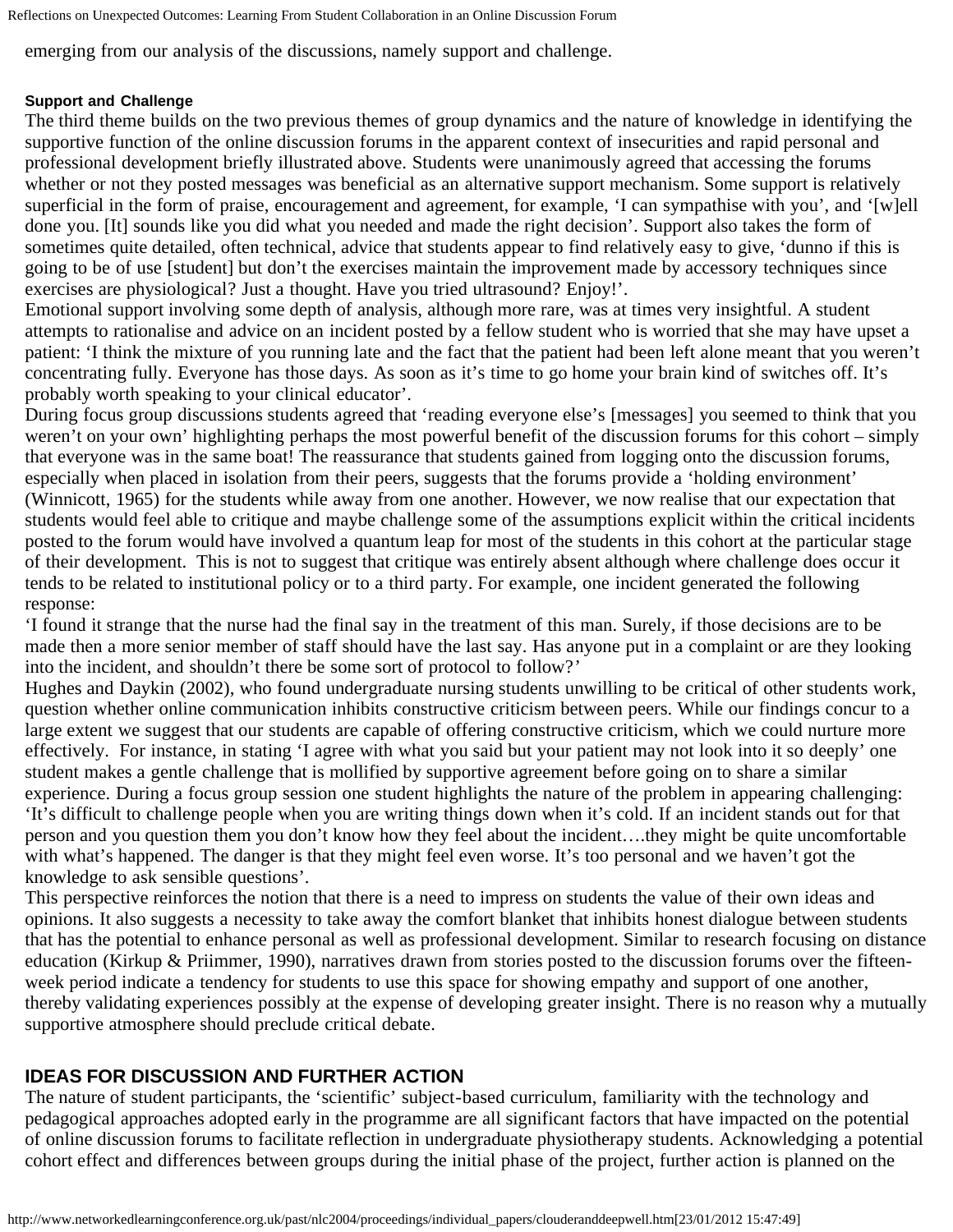emerging from our analysis of the discussions, namely support and challenge.

#### **Support and Challenge**

The third theme builds on the two previous themes of group dynamics and the nature of knowledge in identifying the supportive function of the online discussion forums in the apparent context of insecurities and rapid personal and professional development briefly illustrated above. Students were unanimously agreed that accessing the forums whether or not they posted messages was beneficial as an alternative support mechanism. Some support is relatively superficial in the form of praise, encouragement and agreement, for example, 'I can sympathise with you', and '[w]ell done you. [It] sounds like you did what you needed and made the right decision'. Support also takes the form of sometimes quite detailed, often technical, advice that students appear to find relatively easy to give, 'dunno if this is going to be of use [student] but don't the exercises maintain the improvement made by accessory techniques since exercises are physiological? Just a thought. Have you tried ultrasound? Enjoy!'.

Emotional support involving some depth of analysis, although more rare, was at times very insightful. A student attempts to rationalise and advice on an incident posted by a fellow student who is worried that she may have upset a patient: 'I think the mixture of you running late and the fact that the patient had been left alone meant that you weren't concentrating fully. Everyone has those days. As soon as it's time to go home your brain kind of switches off. It's probably worth speaking to your clinical educator'.

During focus group discussions students agreed that 'reading everyone else's [messages] you seemed to think that you weren't on your own' highlighting perhaps the most powerful benefit of the discussion forums for this cohort – simply that everyone was in the same boat! The reassurance that students gained from logging onto the discussion forums, especially when placed in isolation from their peers, suggests that the forums provide a 'holding environment' (Winnicott, 1965) for the students while away from one another. However, we now realise that our expectation that students would feel able to critique and maybe challenge some of the assumptions explicit within the critical incidents posted to the forum would have involved a quantum leap for most of the students in this cohort at the particular stage of their development. This is not to suggest that critique was entirely absent although where challenge does occur it tends to be related to institutional policy or to a third party. For example, one incident generated the following response:

'I found it strange that the nurse had the final say in the treatment of this man. Surely, if those decisions are to be made then a more senior member of staff should have the last say. Has anyone put in a complaint or are they looking into the incident, and shouldn't there be some sort of protocol to follow?'

Hughes and Daykin (2002), who found undergraduate nursing students unwilling to be critical of other students work, question whether online communication inhibits constructive criticism between peers. While our findings concur to a large extent we suggest that our students are capable of offering constructive criticism, which we could nurture more effectively. For instance, in stating 'I agree with what you said but your patient may not look into it so deeply' one student makes a gentle challenge that is mollified by supportive agreement before going on to share a similar experience. During a focus group session one student highlights the nature of the problem in appearing challenging: 'It's difficult to challenge people when you are writing things down when it's cold. If an incident stands out for that person and you question them you don't know how they feel about the incident….they might be quite uncomfortable with what's happened. The danger is that they might feel even worse. It's too personal and we haven't got the knowledge to ask sensible questions'.

This perspective reinforces the notion that there is a need to impress on students the value of their own ideas and opinions. It also suggests a necessity to take away the comfort blanket that inhibits honest dialogue between students that has the potential to enhance personal as well as professional development. Similar to research focusing on distance education (Kirkup & Priimmer, 1990), narratives drawn from stories posted to the discussion forums over the fifteenweek period indicate a tendency for students to use this space for showing empathy and support of one another, thereby validating experiences possibly at the expense of developing greater insight. There is no reason why a mutually supportive atmosphere should preclude critical debate.

### **IDEAS FOR DISCUSSION AND FURTHER ACTION**

The nature of student participants, the 'scientific' subject-based curriculum, familiarity with the technology and pedagogical approaches adopted early in the programme are all significant factors that have impacted on the potential of online discussion forums to facilitate reflection in undergraduate physiotherapy students. Acknowledging a potential cohort effect and differences between groups during the initial phase of the project, further action is planned on the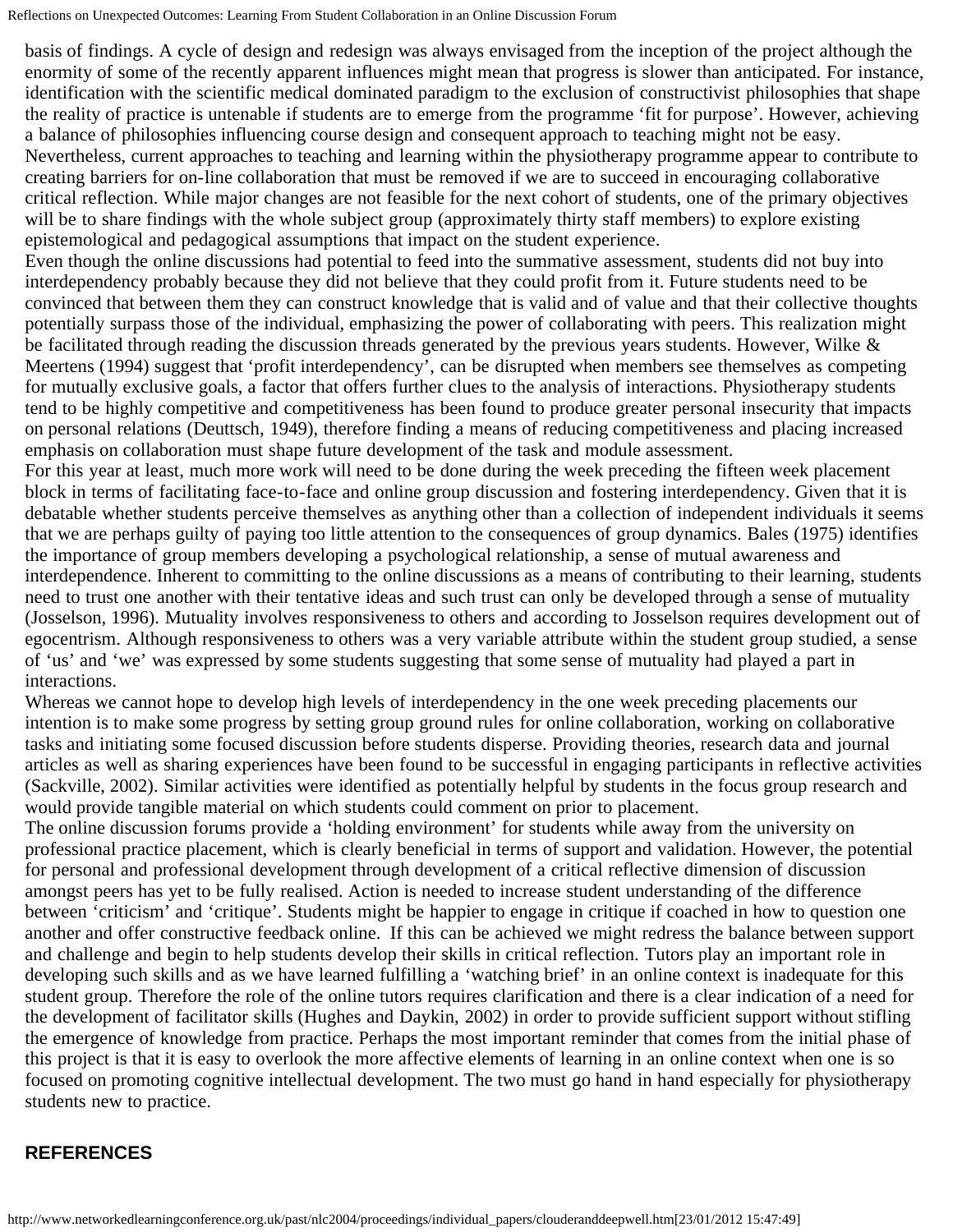basis of findings. A cycle of design and redesign was always envisaged from the inception of the project although the enormity of some of the recently apparent influences might mean that progress is slower than anticipated. For instance, identification with the scientific medical dominated paradigm to the exclusion of constructivist philosophies that shape the reality of practice is untenable if students are to emerge from the programme 'fit for purpose'. However, achieving a balance of philosophies influencing course design and consequent approach to teaching might not be easy. Nevertheless, current approaches to teaching and learning within the physiotherapy programme appear to contribute to creating barriers for on-line collaboration that must be removed if we are to succeed in encouraging collaborative critical reflection. While major changes are not feasible for the next cohort of students, one of the primary objectives will be to share findings with the whole subject group (approximately thirty staff members) to explore existing epistemological and pedagogical assumptions that impact on the student experience.

Even though the online discussions had potential to feed into the summative assessment, students did not buy into interdependency probably because they did not believe that they could profit from it. Future students need to be convinced that between them they can construct knowledge that is valid and of value and that their collective thoughts potentially surpass those of the individual, emphasizing the power of collaborating with peers. This realization might be facilitated through reading the discussion threads generated by the previous years students. However, Wilke  $\&$ Meertens (1994) suggest that 'profit interdependency', can be disrupted when members see themselves as competing for mutually exclusive goals, a factor that offers further clues to the analysis of interactions. Physiotherapy students tend to be highly competitive and competitiveness has been found to produce greater personal insecurity that impacts on personal relations (Deuttsch, 1949), therefore finding a means of reducing competitiveness and placing increased emphasis on collaboration must shape future development of the task and module assessment.

For this year at least, much more work will need to be done during the week preceding the fifteen week placement block in terms of facilitating face-to-face and online group discussion and fostering interdependency. Given that it is debatable whether students perceive themselves as anything other than a collection of independent individuals it seems that we are perhaps guilty of paying too little attention to the consequences of group dynamics. Bales (1975) identifies the importance of group members developing a psychological relationship, a sense of mutual awareness and interdependence. Inherent to committing to the online discussions as a means of contributing to their learning, students need to trust one another with their tentative ideas and such trust can only be developed through a sense of mutuality (Josselson, 1996). Mutuality involves responsiveness to others and according to Josselson requires development out of egocentrism. Although responsiveness to others was a very variable attribute within the student group studied, a sense of 'us' and 'we' was expressed by some students suggesting that some sense of mutuality had played a part in interactions.

Whereas we cannot hope to develop high levels of interdependency in the one week preceding placements our intention is to make some progress by setting group ground rules for online collaboration, working on collaborative tasks and initiating some focused discussion before students disperse. Providing theories, research data and journal articles as well as sharing experiences have been found to be successful in engaging participants in reflective activities (Sackville, 2002). Similar activities were identified as potentially helpful by students in the focus group research and would provide tangible material on which students could comment on prior to placement.

The online discussion forums provide a 'holding environment' for students while away from the university on professional practice placement, which is clearly beneficial in terms of support and validation. However, the potential for personal and professional development through development of a critical reflective dimension of discussion amongst peers has yet to be fully realised. Action is needed to increase student understanding of the difference between 'criticism' and 'critique'. Students might be happier to engage in critique if coached in how to question one another and offer constructive feedback online. If this can be achieved we might redress the balance between support and challenge and begin to help students develop their skills in critical reflection. Tutors play an important role in developing such skills and as we have learned fulfilling a 'watching brief' in an online context is inadequate for this student group. Therefore the role of the online tutors requires clarification and there is a clear indication of a need for the development of facilitator skills (Hughes and Daykin, 2002) in order to provide sufficient support without stifling the emergence of knowledge from practice. Perhaps the most important reminder that comes from the initial phase of this project is that it is easy to overlook the more affective elements of learning in an online context when one is so focused on promoting cognitive intellectual development. The two must go hand in hand especially for physiotherapy students new to practice.

## **REFERENCES**